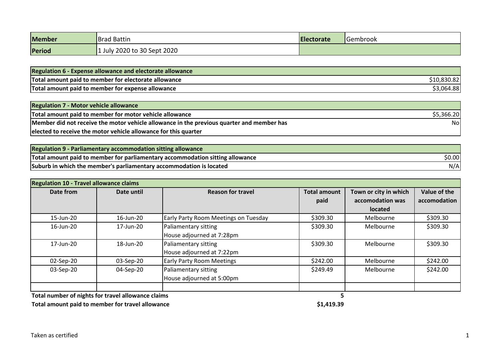| <b>Member</b> | <b>Brad Battin</b>          | <b>Electorate</b> | <b>I</b> Gembrook |
|---------------|-----------------------------|-------------------|-------------------|
| Period        | 1 July 2020 to 30 Sept 2020 |                   |                   |

| <b>Regulation 6 - Expense allowance and electorate allowance</b> |             |
|------------------------------------------------------------------|-------------|
| Total amount paid to member for electorate allowance             | \$10,830.82 |
| Total amount paid to member for expense allowance                | \$3,064.88  |

| <b>Regulation 7 - Motor vehicle allowance</b>                                             |            |
|-------------------------------------------------------------------------------------------|------------|
| Total amount paid to member for motor vehicle allowance                                   | \$5,366.20 |
| Member did not receive the motor vehicle allowance in the previous quarter and member has | Nol        |
| elected to receive the motor vehicle allowance for this quarter                           |            |

| <b>Regulation 9 - Parliamentary accommodation sitting allowance</b>           |        |
|-------------------------------------------------------------------------------|--------|
| Total amount paid to member for parliamentary accommodation sitting allowance | \$0.00 |
| Suburb in which the member's parliamentary accommodation is located           | N/Al   |

| <b>Regulation 10 - Travel allowance claims</b> |           |                                      |                     |                       |              |  |
|------------------------------------------------|-----------|--------------------------------------|---------------------|-----------------------|--------------|--|
| Date from<br>Date until                        |           | <b>Reason for travel</b>             | <b>Total amount</b> | Town or city in which | Value of the |  |
|                                                |           |                                      | paid                | accomodation was      | accomodation |  |
|                                                |           |                                      |                     | <b>located</b>        |              |  |
| 15-Jun-20                                      | 16-Jun-20 | Early Party Room Meetings on Tuesday | \$309.30            | Melbourne             | \$309.30     |  |
| 16-Jun-20                                      | 17-Jun-20 | Paliamentary sitting                 | \$309.30            | Melbourne             | \$309.30     |  |
|                                                |           | House adjourned at 7:28pm            |                     |                       |              |  |
| 17-Jun-20                                      | 18-Jun-20 | Paliamentary sitting                 | \$309.30            | Melbourne             | \$309.30     |  |
|                                                |           | House adjourned at 7:22pm            |                     |                       |              |  |
| 02-Sep-20                                      | 03-Sep-20 | <b>Early Party Room Meetings</b>     | \$242.00            | Melbourne             | \$242.00     |  |
| 03-Sep-20                                      | 04-Sep-20 | Paliamentary sitting                 | \$249.49            | Melbourne             | \$242.00     |  |
|                                                |           | House adjourned at 5:00pm            |                     |                       |              |  |
|                                                |           |                                      |                     |                       |              |  |

**Total number of nights for travel allowance claims 5**

Total amount paid to member for travel allowance **<b>Allowance \$1,419.39**